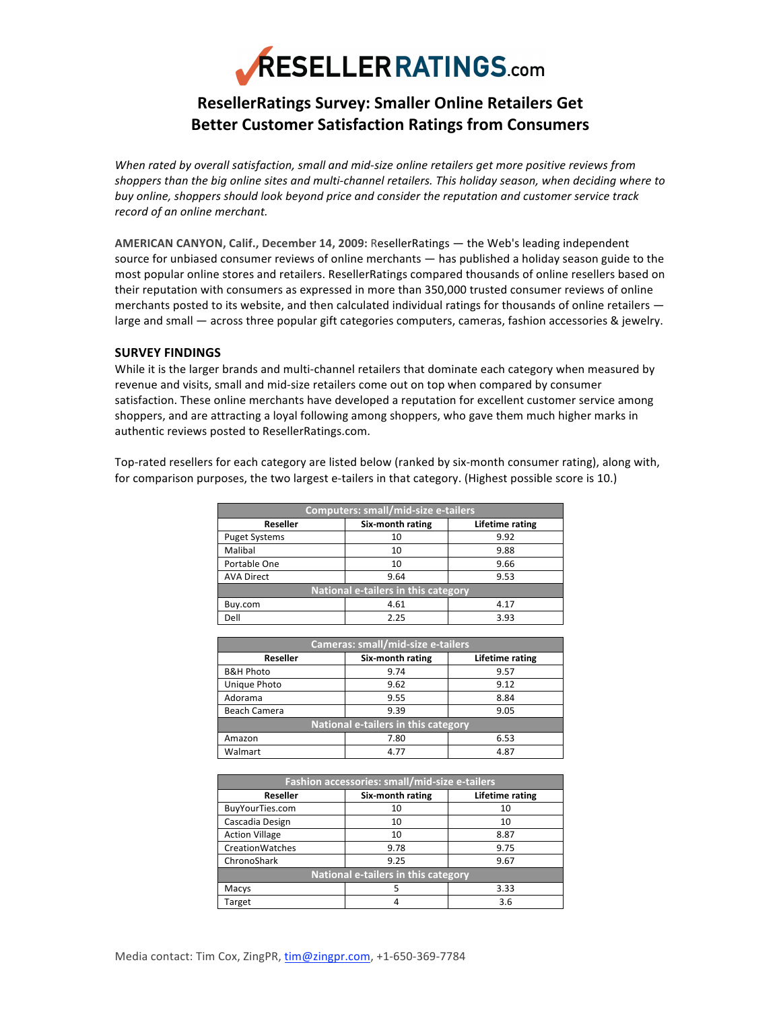

# **ResellerRatings
Survey:
Smaller
Online
Retailers
Get Better
Customer
Satisfaction
Ratings
from
Consumers**

When rated by overall satisfaction, small and mid-size online retailers get more positive reviews from shoppers than the big online sites and multi-channel retailers. This holiday season, when deciding where to buy online, shoppers should look beyond price and consider the reputation and customer service track *record
of
an
online
merchant.*

AMERICAN CANYON, Calif., December 14, 2009: ResellerRatings — the Web's leading independent source for unbiased consumer reviews of online merchants — has published a holiday season guide to the most popular online stores and retailers. ResellerRatings compared thousands of online resellers based on their reputation with consumers as expressed in more than 350,000 trusted consumer reviews of online merchants posted to its website, and then calculated individual ratings for thousands of online retailers large and small - across three popular gift categories computers, cameras, fashion accessories & jewelry.

## **SURVEY
FINDINGS**

While it is the larger brands and multi-channel retailers that dominate each category when measured by revenue and visits, small and mid-size retailers come out on top when compared by consumer satisfaction. These online merchants have developed a reputation for excellent customer service among shoppers, and are attracting a loyal following among shoppers, who gave them much higher marks in authentic
reviews
posted
to
ResellerRatings.com.

Top-rated resellers for each category are listed below (ranked by six-month consumer rating), along with, for comparison purposes, the two largest e-tailers in that category. (Highest possible score is 10.)

| <b>Computers: small/mid-size e-tailers</b> |                  |                 |  |
|--------------------------------------------|------------------|-----------------|--|
| <b>Reseller</b>                            | Six-month rating | Lifetime rating |  |
| <b>Puget Systems</b>                       | 10               | 9.92            |  |
| Malibal                                    | 10               | 9.88            |  |
| Portable One                               | 10               | 9.66            |  |
| <b>AVA Direct</b>                          | 9.64             | 9.53            |  |
| <b>National e-tailers in this category</b> |                  |                 |  |
| Buy.com                                    | 4.61             | 4.17            |  |
| Dell                                       | 2.25             | 3.93            |  |

| Cameras: small/mid-size e-tailers          |                  |                 |  |
|--------------------------------------------|------------------|-----------------|--|
| Reseller                                   | Six-month rating | Lifetime rating |  |
| <b>B&amp;H Photo</b>                       | 9.74             | 9.57            |  |
| Unique Photo                               | 9.62             | 9.12            |  |
| Adorama                                    | 9.55             | 8.84            |  |
| Beach Camera                               | 9.39             | 9.05            |  |
| <b>National e-tailers in this category</b> |                  |                 |  |
| Amazon                                     | 7.80             | 6.53            |  |
| Walmart                                    | 4.77             | 4.87            |  |

| Fashion accessories: small/mid-size e-tailers |                  |                 |  |
|-----------------------------------------------|------------------|-----------------|--|
| <b>Reseller</b>                               | Six-month rating | Lifetime rating |  |
| BuyYourTies.com                               | 10               | 10              |  |
| Cascadia Design                               | 10               | 10              |  |
| <b>Action Village</b>                         | 10               | 8.87            |  |
| CreationWatches                               | 9.78             | 9.75            |  |
| ChronoShark                                   | 9.25             | 9.67            |  |
| National e-tailers in this category           |                  |                 |  |
| Macys                                         | 5                | 3.33            |  |
| Target                                        | 4                | 3.6             |  |